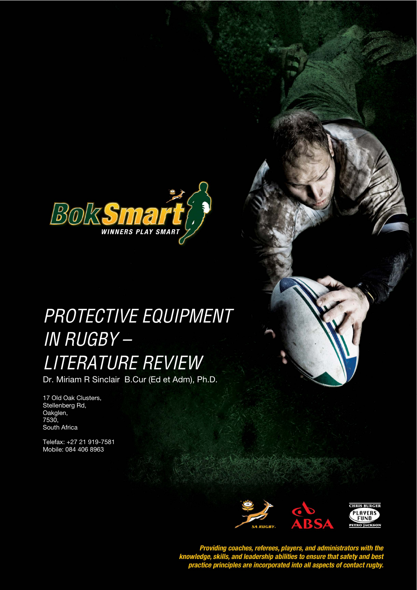

# **PROTECTIVE EQUIPMENT** IN RUGBY – LITERATURE REVIEW

Dr. Miriam R Sinclair B.Cur (Ed et Adm), Ph.D.

17 Old Oak Clusters, Stellenberg Rd, Oakglen, 7530, South Africa

Telefax: +27 21 919-7581 Mobile: 084 406 8963



Providing coaches, referees, players, and administrators with the<br>knowledge, skills, and leadership abilities to ensure that safety and best<br>practice principles are incorporated into all aspects of contact rugby.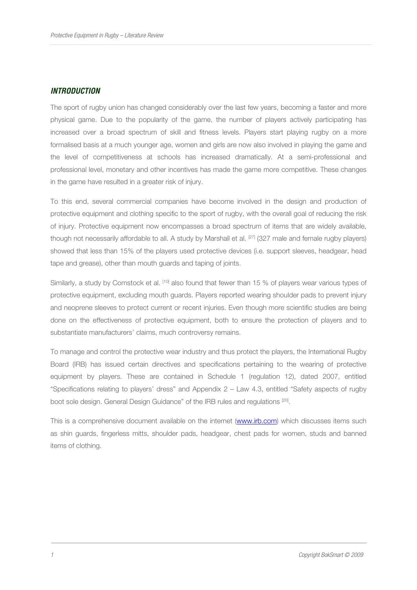## **INTRODUCTION**

The sport of rugby union has changed considerably over the last few years, becoming a faster and more physical game. Due to the popularity of the game, the number of players actively participating has increased over a broad spectrum of skill and fitness levels. Players start playing rugby on a more formalised basis at a much younger age, women and girls are now also involved in playing the game and the level of competitiveness at schools has increased dramatically. At a semi-professional and professional level, monetary and other incentives has made the game more competitive. These changes in the game have resulted in a greater risk of injury.

To this end, several commercial companies have become involved in the design and production of protective equipment and clothing specific to the sport of rugby, with the overall goal of reducing the risk of injury. Protective equipment now encompasses a broad spectrum of items that are widely available, though not necessarily affordable to all. A study by Marshall et al. [27] (327 male and female rugby players) showed that less than 15% of the players used protective devices (i.e. support sleeves, headgear, head tape and grease), other than mouth guards and taping of joints.

Similarly, a study by Comstock et al. [10] also found that fewer than 15 % of players wear various types of protective equipment, excluding mouth guards. Players reported wearing shoulder pads to prevent injury and neoprene sleeves to protect current or recent injuries. Even though more scientific studies are being done on the effectiveness of protective equipment, both to ensure the protection of players and to substantiate manufacturers' claims, much controversy remains.

To manage and control the protective wear industry and thus protect the players, the International Rugby Board (IRB) has issued certain directives and specifications pertaining to the wearing of protective equipment by players. These are contained in Schedule 1 (regulation 12), dated 2007, entitled "Specifications relating to players' dress" and Appendix 2 – Law 4.3, entitled "Safety aspects of rugby boot sole design. General Design Guidance" of the IRB rules and regulations [20].

This is a comprehensive document available on the internet (www.irb.com) which discusses items such as shin guards, fingerless mitts, shoulder pads, headgear, chest pads for women, studs and banned items of clothing.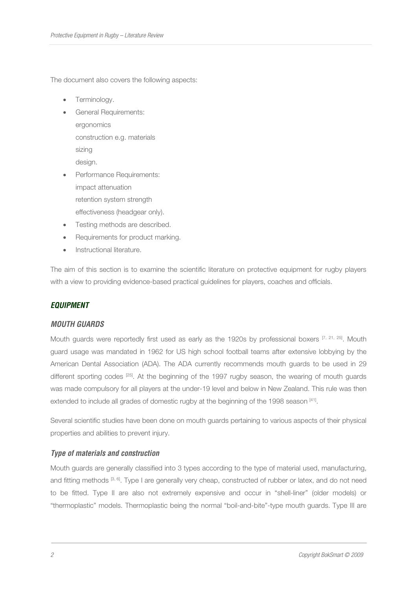The document also covers the following aspects:

- Terminology.
- General Requirements: ergonomics construction e.g. materials sizing design.
- Performance Requirements: impact attenuation retention system strength effectiveness (headgear only).
- Testing methods are described.
- Requirements for product marking.
- Instructional literature.

The aim of this section is to examine the scientific literature on protective equipment for rugby players with a view to providing evidence-based practical guidelines for players, coaches and officials.

## **EQUIPMENT**

## **MOUTH GUARDS**

Mouth guards were reportedly first used as early as the 1920s by professional boxers  $[7, 21, 25]$ . Mouth guard usage was mandated in 1962 for US high school football teams after extensive lobbying by the American Dental Association (ADA). The ADA currently recommends mouth guards to be used in 29 different sporting codes [25]. At the beginning of the 1997 rugby season, the wearing of mouth guards was made compulsory for all players at the under-19 level and below in New Zealand. This rule was then extended to include all grades of domestic rugby at the beginning of the 1998 season [41].

Several scientific studies have been done on mouth guards pertaining to various aspects of their physical properties and abilities to prevent injury.

## **Type of materials and construction**

Mouth guards are generally classified into 3 types according to the type of material used, manufacturing, and fitting methods [3, 6]. Type I are generally very cheap, constructed of rubber or latex, and do not need to be fitted. Type II are also not extremely expensive and occur in "shell-liner" (older models) or "thermoplastic" models. Thermoplastic being the normal "boil-and-bite"-type mouth guards. Type III are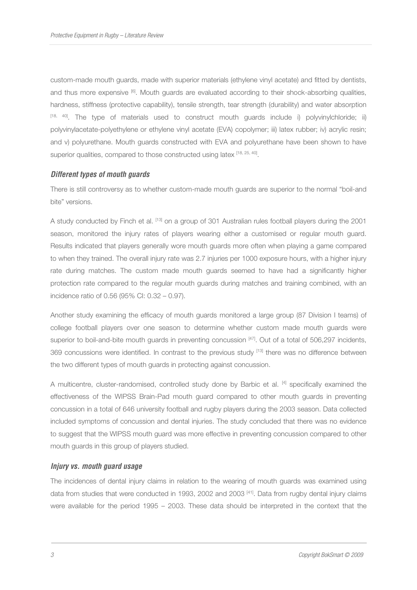custom-made mouth guards, made with superior materials (ethylene vinyl acetate) and fitted by dentists, and thus more expensive [6]. Mouth guards are evaluated according to their shock-absorbing qualities, hardness, stiffness (protective capability), tensile strength, tear strength (durability) and water absorption  $[18, 40]$ . The type of materials used to construct mouth guards include i) polyvinylchloride; ii) polyvinylacetate-polyethylene or ethylene vinyl acetate (EVA) copolymer; iii) latex rubber; iv) acrylic resin; and v) polyurethane. Mouth guards constructed with EVA and polyurethane have been shown to have superior qualities, compared to those constructed using latex [18, 25, 40].

#### **Different types of mouth guards**

There is still controversy as to whether custom-made mouth guards are superior to the normal "boil-and bite" versions.

A study conducted by Finch et al. [13] on a group of 301 Australian rules football players during the 2001 season, monitored the injury rates of players wearing either a customised or regular mouth guard. Results indicated that players generally wore mouth guards more often when playing a game compared to when they trained. The overall injury rate was 2.7 injuries per 1000 exposure hours, with a higher injury rate during matches. The custom made mouth guards seemed to have had a significantly higher protection rate compared to the regular mouth guards during matches and training combined, with an incidence ratio of 0.56 (95% CI: 0.32 – 0.97).

Another study examining the efficacy of mouth guards monitored a large group (87 Division I teams) of college football players over one season to determine whether custom made mouth guards were superior to boil-and-bite mouth guards in preventing concussion [47]. Out of a total of 506,297 incidents, 369 concussions were identified. In contrast to the previous study [13] there was no difference between the two different types of mouth guards in protecting against concussion.

A multicentre, cluster-randomised, controlled study done by Barbic et al. [4] specifically examined the effectiveness of the WIPSS Brain-Pad mouth guard compared to other mouth guards in preventing concussion in a total of 646 university football and rugby players during the 2003 season. Data collected included symptoms of concussion and dental injuries. The study concluded that there was no evidence to suggest that the WIPSS mouth guard was more effective in preventing concussion compared to other mouth guards in this group of players studied.

#### **Injury vs. mouth guard usage**

The incidences of dental injury claims in relation to the wearing of mouth guards was examined using data from studies that were conducted in 1993, 2002 and 2003 [41]. Data from rugby dental injury claims were available for the period 1995 – 2003. These data should be interpreted in the context that the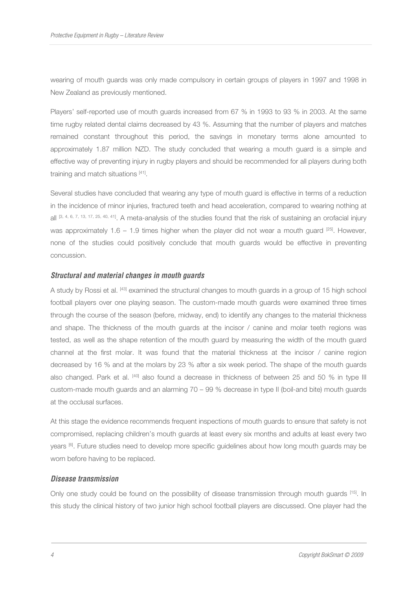wearing of mouth guards was only made compulsory in certain groups of players in 1997 and 1998 in New Zealand as previously mentioned.

Players' self-reported use of mouth guards increased from 67 % in 1993 to 93 % in 2003. At the same time rugby related dental claims decreased by 43 %. Assuming that the number of players and matches remained constant throughout this period, the savings in monetary terms alone amounted to approximately 1.87 million NZD. The study concluded that wearing a mouth guard is a simple and effective way of preventing injury in rugby players and should be recommended for all players during both training and match situations [41].

Several studies have concluded that wearing any type of mouth guard is effective in terms of a reduction in the incidence of minor injuries, fractured teeth and head acceleration, compared to wearing nothing at all [3, 4, 6, 7, 13, 17, 25, 40, 41]. A meta-analysis of the studies found that the risk of sustaining an orofacial injury was approximately  $1.6 - 1.9$  times higher when the player did not wear a mouth guard  $[25]$ . However, none of the studies could positively conclude that mouth guards would be effective in preventing concussion.

#### **Structural and material changes in mouth guards**

A study by Rossi et al. [43] examined the structural changes to mouth guards in a group of 15 high school football players over one playing season. The custom-made mouth guards were examined three times through the course of the season (before, midway, end) to identify any changes to the material thickness and shape. The thickness of the mouth guards at the incisor / canine and molar teeth regions was tested, as well as the shape retention of the mouth guard by measuring the width of the mouth guard channel at the first molar. It was found that the material thickness at the incisor / canine region decreased by 16 % and at the molars by 23 % after a six week period. The shape of the mouth guards also changed. Park et al. [40] also found a decrease in thickness of between 25 and 50 % in type III custom-made mouth guards and an alarming 70 – 99 % decrease in type II (boil-and bite) mouth guards at the occlusal surfaces.

At this stage the evidence recommends frequent inspections of mouth guards to ensure that safety is not compromised, replacing children's mouth guards at least every six months and adults at least every two years <sup>[6]</sup>. Future studies need to develop more specific guidelines about how long mouth guards may be worn before having to be replaced.

#### **Disease transmission**

Only one study could be found on the possibility of disease transmission through mouth guards [15]. In this study the clinical history of two junior high school football players are discussed. One player had the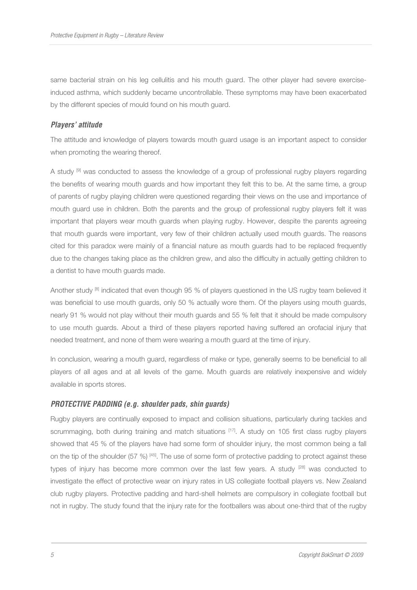same bacterial strain on his leg cellulitis and his mouth guard. The other player had severe exerciseinduced asthma, which suddenly became uncontrollable. These symptoms may have been exacerbated by the different species of mould found on his mouth guard.

## **Players' attitude**

The attitude and knowledge of players towards mouth guard usage is an important aspect to consider when promoting the wearing thereof.

A study <sup>[9]</sup> was conducted to assess the knowledge of a group of professional rugby players regarding the benefits of wearing mouth guards and how important they felt this to be. At the same time, a group of parents of rugby playing children were questioned regarding their views on the use and importance of mouth guard use in children. Both the parents and the group of professional rugby players felt it was important that players wear mouth guards when playing rugby. However, despite the parents agreeing that mouth guards were important, very few of their children actually used mouth guards. The reasons cited for this paradox were mainly of a financial nature as mouth guards had to be replaced frequently due to the changes taking place as the children grew, and also the difficulty in actually getting children to a dentist to have mouth guards made.

Another study <sup>[8]</sup> indicated that even though 95 % of players questioned in the US rugby team believed it was beneficial to use mouth guards, only 50 % actually wore them. Of the players using mouth guards, nearly 91 % would not play without their mouth guards and 55 % felt that it should be made compulsory to use mouth guards. About a third of these players reported having suffered an orofacial injury that needed treatment, and none of them were wearing a mouth guard at the time of injury.

In conclusion, wearing a mouth guard, regardless of make or type, generally seems to be beneficial to all players of all ages and at all levels of the game. Mouth guards are relatively inexpensive and widely available in sports stores.

## **PROTECTIVE PADDING (e.g. shoulder pads, shin guards)**

Rugby players are continually exposed to impact and collision situations, particularly during tackles and scrummaging, both during training and match situations  $[17]$ . A study on 105 first class rugby players showed that 45 % of the players have had some form of shoulder injury, the most common being a fall on the tip of the shoulder (57 %)  $\frac{45}{1}$ . The use of some form of protective padding to protect against these types of injury has become more common over the last few years. A study <sup>[28]</sup> was conducted to investigate the effect of protective wear on injury rates in US collegiate football players vs. New Zealand club rugby players. Protective padding and hard-shell helmets are compulsory in collegiate football but not in rugby. The study found that the injury rate for the footballers was about one-third that of the rugby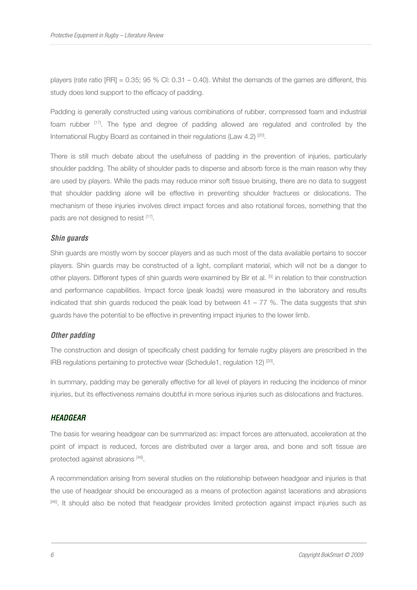players (rate ratio  $[RR] = 0.35$ ; 95 % CI: 0.31 – 0.40). Whilst the demands of the games are different, this study does lend support to the efficacy of padding.

Padding is generally constructed using various combinations of rubber, compressed foam and industrial foam rubber [17]. The type and degree of padding allowed are regulated and controlled by the International Rugby Board as contained in their regulations (Law 4.2)<sup>[20]</sup>.

There is still much debate about the usefulness of padding in the prevention of injuries, particularly shoulder padding. The ability of shoulder pads to disperse and absorb force is the main reason why they are used by players. While the pads may reduce minor soft tissue bruising, there are no data to suggest that shoulder padding alone will be effective in preventing shoulder fractures or dislocations. The mechanism of these injuries involves direct impact forces and also rotational forces, something that the pads are not designed to resist [17].

## **Shin guards**

Shin guards are mostly worn by soccer players and as such most of the data available pertains to soccer players. Shin guards may be constructed of a light, compliant material, which will not be a danger to other players. Different types of shin guards were examined by Bir et al. [5] in relation to their construction and performance capabilities. Impact force (peak loads) were measured in the laboratory and results indicated that shin guards reduced the peak load by between  $41 - 77$  %. The data suggests that shin guards have the potential to be effective in preventing impact injuries to the lower limb.

## **Other padding**

The construction and design of specifically chest padding for female rugby players are prescribed in the IRB regulations pertaining to protective wear (Schedule1, regulation 12)<sup>[20]</sup>.

In summary, padding may be generally effective for all level of players in reducing the incidence of minor injuries, but its effectiveness remains doubtful in more serious injuries such as dislocations and fractures.

## **HEADGEAR**

The basis for wearing headgear can be summarized as: impact forces are attenuated, acceleration at the point of impact is reduced, forces are distributed over a larger area, and bone and soft tissue are protected against abrasions [46].

A recommendation arising from several studies on the relationship between headgear and injuries is that the use of headgear should be encouraged as a means of protection against lacerations and abrasions [46]. It should also be noted that headgear provides limited protection against impact injuries such as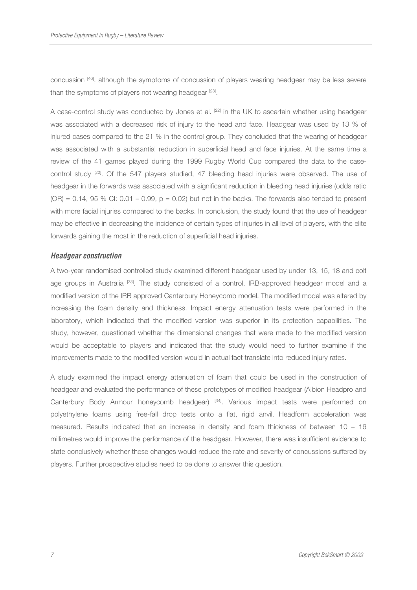concussion [46], although the symptoms of concussion of players wearing headgear may be less severe than the symptoms of players not wearing headgear [23].

A case-control study was conducted by Jones et al. [22] in the UK to ascertain whether using headgear was associated with a decreased risk of injury to the head and face. Headgear was used by 13 % of injured cases compared to the 21 % in the control group. They concluded that the wearing of headgear was associated with a substantial reduction in superficial head and face injuries. At the same time a review of the 41 games played during the 1999 Rugby World Cup compared the data to the casecontrol study <sup>[22]</sup>. Of the 547 players studied, 47 bleeding head injuries were observed. The use of headgear in the forwards was associated with a significant reduction in bleeding head injuries (odds ratio  $(OR) = 0.14$ , 95 % CI: 0.01 – 0.99,  $p = 0.02$ ) but not in the backs. The forwards also tended to present with more facial injuries compared to the backs. In conclusion, the study found that the use of headgear may be effective in decreasing the incidence of certain types of injuries in all level of players, with the elite forwards gaining the most in the reduction of superficial head injuries.

#### **Headgear construction**

A two-year randomised controlled study examined different headgear used by under 13, 15, 18 and colt age groups in Australia [33]. The study consisted of a control, IRB-approved headgear model and a modified version of the IRB approved Canterbury Honeycomb model. The modified model was altered by increasing the foam density and thickness. Impact energy attenuation tests were performed in the laboratory, which indicated that the modified version was superior in its protection capabilities. The study, however, questioned whether the dimensional changes that were made to the modified version would be acceptable to players and indicated that the study would need to further examine if the improvements made to the modified version would in actual fact translate into reduced injury rates.

A study examined the impact energy attenuation of foam that could be used in the construction of headgear and evaluated the performance of these prototypes of modified headgear (Albion Headpro and Canterbury Body Armour honeycomb headgear) [34]. Various impact tests were performed on polyethylene foams using free-fall drop tests onto a flat, rigid anvil. Headform acceleration was measured. Results indicated that an increase in density and foam thickness of between 10 – 16 millimetres would improve the performance of the headgear. However, there was insufficient evidence to state conclusively whether these changes would reduce the rate and severity of concussions suffered by players. Further prospective studies need to be done to answer this question.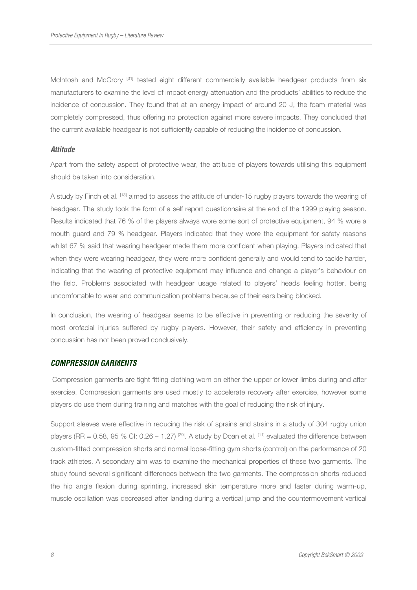McIntosh and McCrory<sup>[31]</sup> tested eight different commercially available headgear products from six manufacturers to examine the level of impact energy attenuation and the products' abilities to reduce the incidence of concussion. They found that at an energy impact of around 20 J, the foam material was completely compressed, thus offering no protection against more severe impacts. They concluded that the current available headgear is not sufficiently capable of reducing the incidence of concussion.

#### **Attitude**

Apart from the safety aspect of protective wear, the attitude of players towards utilising this equipment should be taken into consideration.

A study by Finch et al. [13] aimed to assess the attitude of under-15 rugby players towards the wearing of headgear. The study took the form of a self report questionnaire at the end of the 1999 playing season. Results indicated that 76 % of the players always wore some sort of protective equipment, 94 % wore a mouth guard and 79 % headgear. Players indicated that they wore the equipment for safety reasons whilst 67 % said that wearing headgear made them more confident when playing. Players indicated that when they were wearing headgear, they were more confident generally and would tend to tackle harder, indicating that the wearing of protective equipment may influence and change a player's behaviour on the field. Problems associated with headgear usage related to players' heads feeling hotter, being uncomfortable to wear and communication problems because of their ears being blocked.

In conclusion, the wearing of headgear seems to be effective in preventing or reducing the severity of most orofacial injuries suffered by rugby players. However, their safety and efficiency in preventing concussion has not been proved conclusively.

#### **COMPRESSION GARMENTS**

 Compression garments are tight fitting clothing worn on either the upper or lower limbs during and after exercise. Compression garments are used mostly to accelerate recovery after exercise, however some players do use them during training and matches with the goal of reducing the risk of injury.

Support sleeves were effective in reducing the risk of sprains and strains in a study of 304 rugby union players (RR = 0.58, 95 % CI: 0.26 – 1.27) <sup>[29]</sup>. A study by Doan et al. <sup>[11]</sup> evaluated the difference between custom-fitted compression shorts and normal loose-fitting gym shorts (control) on the performance of 20 track athletes. A secondary aim was to examine the mechanical properties of these two garments. The study found several significant differences between the two garments. The compression shorts reduced the hip angle flexion during sprinting, increased skin temperature more and faster during warm-up, muscle oscillation was decreased after landing during a vertical jump and the countermovement vertical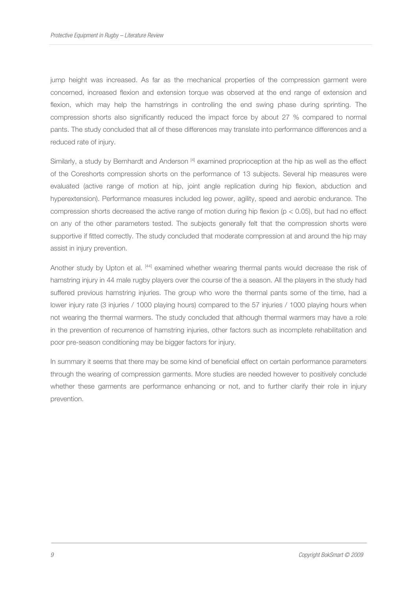jump height was increased. As far as the mechanical properties of the compression garment were concerned, increased flexion and extension torque was observed at the end range of extension and flexion, which may help the hamstrings in controlling the end swing phase during sprinting. The compression shorts also significantly reduced the impact force by about 27 % compared to normal pants. The study concluded that all of these differences may translate into performance differences and a reduced rate of injury.

Similarly, a study by Bernhardt and Anderson [4] examined proprioception at the hip as well as the effect of the Coreshorts compression shorts on the performance of 13 subjects. Several hip measures were evaluated (active range of motion at hip, joint angle replication during hip flexion, abduction and hyperextension). Performance measures included leg power, agility, speed and aerobic endurance. The compression shorts decreased the active range of motion during hip flexion (p < 0.05), but had no effect on any of the other parameters tested. The subjects generally felt that the compression shorts were supportive if fitted correctly. The study concluded that moderate compression at and around the hip may assist in injury prevention.

Another study by Upton et al. [44] examined whether wearing thermal pants would decrease the risk of hamstring injury in 44 male rugby players over the course of the a season. All the players in the study had suffered previous hamstring injuries. The group who wore the thermal pants some of the time, had a lower injury rate (3 injuries / 1000 playing hours) compared to the 57 injuries / 1000 playing hours when not wearing the thermal warmers. The study concluded that although thermal warmers may have a role in the prevention of recurrence of hamstring injuries, other factors such as incomplete rehabilitation and poor pre-season conditioning may be bigger factors for injury.

In summary it seems that there may be some kind of beneficial effect on certain performance parameters through the wearing of compression garments. More studies are needed however to positively conclude whether these garments are performance enhancing or not, and to further clarify their role in injury prevention.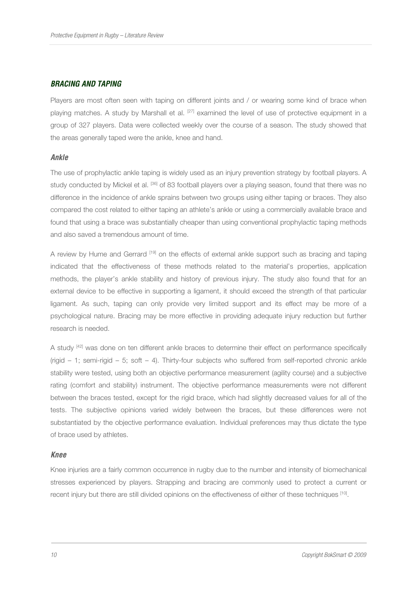### **BRACING AND TAPING**

Players are most often seen with taping on different joints and / or wearing some kind of brace when playing matches. A study by Marshall et al. [27] examined the level of use of protective equipment in a group of 327 players. Data were collected weekly over the course of a season. The study showed that the areas generally taped were the ankle, knee and hand.

#### **Ankle**

The use of prophylactic ankle taping is widely used as an injury prevention strategy by football players. A study conducted by Mickel et al. <sup>[36]</sup> of 83 football players over a playing season, found that there was no difference in the incidence of ankle sprains between two groups using either taping or braces. They also compared the cost related to either taping an athlete's ankle or using a commercially available brace and found that using a brace was substantially cheaper than using conventional prophylactic taping methods and also saved a tremendous amount of time.

A review by Hume and Gerrard [19] on the effects of external ankle support such as bracing and taping indicated that the effectiveness of these methods related to the material's properties, application methods, the player's ankle stability and history of previous injury. The study also found that for an external device to be effective in supporting a ligament, it should exceed the strength of that particular ligament. As such, taping can only provide very limited support and its effect may be more of a psychological nature. Bracing may be more effective in providing adequate injury reduction but further research is needed.

A study <sup>[42]</sup> was done on ten different ankle braces to determine their effect on performance specifically (rigid – 1; semi-rigid – 5; soft – 4). Thirty-four subjects who suffered from self-reported chronic ankle stability were tested, using both an objective performance measurement (agility course) and a subjective rating (comfort and stability) instrument. The objective performance measurements were not different between the braces tested, except for the rigid brace, which had slightly decreased values for all of the tests. The subjective opinions varied widely between the braces, but these differences were not substantiated by the objective performance evaluation. Individual preferences may thus dictate the type of brace used by athletes.

#### **Knee**

Knee injuries are a fairly common occurrence in rugby due to the number and intensity of biomechanical stresses experienced by players. Strapping and bracing are commonly used to protect a current or recent injury but there are still divided opinions on the effectiveness of either of these techniques [10].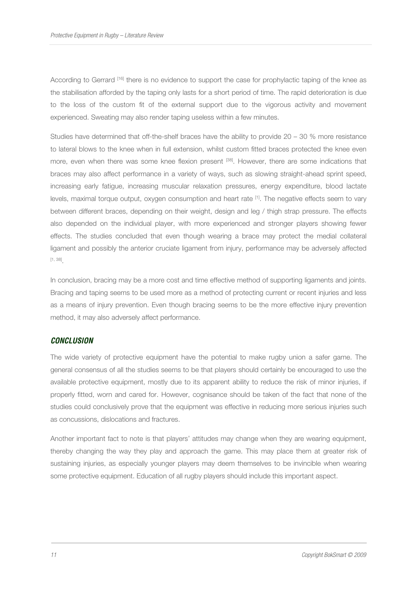According to Gerrard [16] there is no evidence to support the case for prophylactic taping of the knee as the stabilisation afforded by the taping only lasts for a short period of time. The rapid deterioration is due to the loss of the custom fit of the external support due to the vigorous activity and movement experienced. Sweating may also render taping useless within a few minutes.

Studies have determined that off-the-shelf braces have the ability to provide 20 – 30 % more resistance to lateral blows to the knee when in full extension, whilst custom fitted braces protected the knee even more, even when there was some knee flexion present [38]. However, there are some indications that braces may also affect performance in a variety of ways, such as slowing straight-ahead sprint speed, increasing early fatigue, increasing muscular relaxation pressures, energy expenditure, blood lactate levels, maximal torque output, oxygen consumption and heart rate [1]. The negative effects seem to vary between different braces, depending on their weight, design and leg / thigh strap pressure. The effects also depended on the individual player, with more experienced and stronger players showing fewer effects. The studies concluded that even though wearing a brace may protect the medial collateral ligament and possibly the anterior cruciate ligament from injury, performance may be adversely affected [1, 38] .

In conclusion, bracing may be a more cost and time effective method of supporting ligaments and joints. Bracing and taping seems to be used more as a method of protecting current or recent injuries and less as a means of injury prevention. Even though bracing seems to be the more effective injury prevention method, it may also adversely affect performance.

#### **CONCLUSION**

The wide variety of protective equipment have the potential to make rugby union a safer game. The general consensus of all the studies seems to be that players should certainly be encouraged to use the available protective equipment, mostly due to its apparent ability to reduce the risk of minor injuries, if properly fitted, worn and cared for. However, cognisance should be taken of the fact that none of the studies could conclusively prove that the equipment was effective in reducing more serious injuries such as concussions, dislocations and fractures.

Another important fact to note is that players' attitudes may change when they are wearing equipment, thereby changing the way they play and approach the game. This may place them at greater risk of sustaining injuries, as especially younger players may deem themselves to be invincible when wearing some protective equipment. Education of all rugby players should include this important aspect.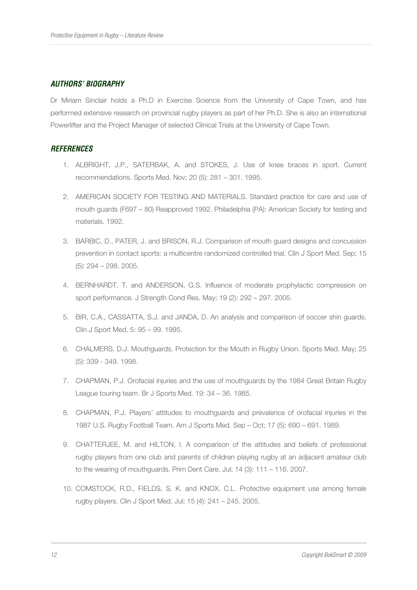## **AUTHORS' BIOGRAPHY**

Dr Miriam Sinclair holds a Ph.D in Exercise Science from the University of Cape Town, and has performed extensive research on provincial rugby players as part of her Ph.D. She is also an international Powerlifter and the Project Manager of selected Clinical Trials at the University of Cape Town.

### **REFERENCES**

- 1. ALBRIGHT, J.P., SATERBAK, A. and STOKES, J. Use of knee braces in sport. Current recommendations. Sports Med. Nov; 20 (5): 281 – 301. 1995.
- 2. AMERICAN SOCIETY FOR TESTING AND MATERIALS. Standard practice for care and use of mouth guards (F697 – 80) Reapproved 1992. Philadelphia (PA): American Society for testing and materials. 1992.
- 3. BARBIC, D., PATER, J. and BRISON, R.J. Comparison of mouth guard designs and concussion prevention in contact sports: a multicentre randomized controlled trial. Clin J Sport Med. Sep; 15 (5): 294 – 298. 2005.
- 4. BERNHARDT, T. and ANDERSON, G.S. Influence of moderate prophylactic compression on sport performance. J Strength Cond Res. May; 19 (2): 292 – 297. 2005.
- 5. BIR, C.A., CASSATTA, S.J. and JANDA, D. An analysis and comparison of soccer shin guards. Clin J Sport Med. 5: 95 – 99. 1995.
- 6. CHALMERS, D.J. Mouthguards. Protection for the Mouth in Rugby Union. Sports Med. May; 25 (5): 339 - 349. 1998.
- 7. CHAPMAN, P.J. Orofacial injuries and the use of mouthguards by the 1984 Great Britain Rugby League touring team. Br J Sports Med. 19: 34 – 36. 1985.
- 8. CHAPMAN, P.J. Players' attitudes to mouthguards and prevalence of orofacial injuries in the 1987 U.S. Rugby Football Team. Am J Sports Med. Sep – Oct; 17 (5): 690 – 691. 1989.
- 9. CHATTERJEE, M. and HILTON, I. A comparison of the attitudes and beliefs of professional rugby players from one club and parents of children playing rugby at an adjacent amateur club to the wearing of mouthguards. Prim Dent Care. Jul; 14 (3): 111 – 116. 2007.
- 10. COMSTOCK, R.D., FIELDS, S. K. and KNOX, C.L. Protective equipment use among female rugby players. Clin J Sport Med. Jul; 15 (4): 241 – 245. 2005.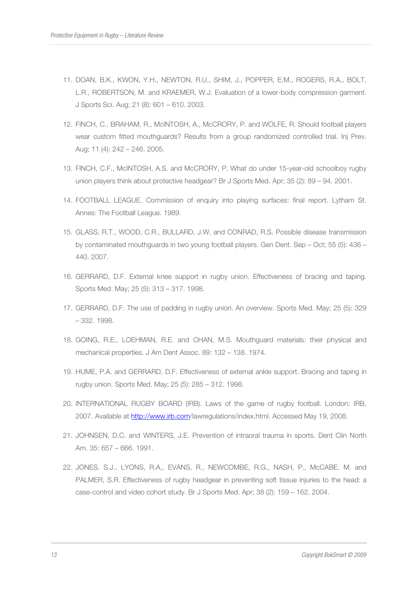- 11. DOAN, B.K., KWON, Y.H., NEWTON, R.U., SHIM, J., POPPER, E.M., ROGERS, R.A., BOLT, L.R., ROBERTSON, M. and KRAEMER, W.J. Evaluation of a lower-body compression garment. J Sports Sci. Aug; 21 (8): 601 – 610. 2003.
- 12. FINCH, C., BRAHAM, R., McINTOSH, A., McCRORY, P. and WOLFE, R. Should football players wear custom fitted mouthguards? Results from a group randomized controlled trial. Inj Prev. Aug; 11 (4): 242 – 246. 2005.
- 13. FINCH, C.F., McINTOSH, A.S. and McCRORY, P. What do under 15-year-old schoolboy rugby union players think about protective headgear? Br J Sports Med. Apr; 35 (2): 89 – 94. 2001.
- 14. FOOTBALL LEAGUE. Commission of enquiry into playing surfaces: final report. Lytham St. Annes: The Football League. 1989.
- 15. GLASS, R.T., WOOD, C.R., BULLARD, J.W. and CONRAD, R.S. Possible disease transmission by contaminated mouthguards in two young football players. Gen Dent. Sep – Oct; 55 (5): 436 – 440. 2007.
- 16. GERRARD, D.F. External knee support in rugby union. Effectiveness of bracing and taping. Sports Med. May; 25 (5): 313 – 317. 1998.
- 17. GERRARD, D.F. The use of padding in rugby union. An overview. Sports Med. May; 25 (5): 329 – 332. 1998.
- 18. GOING, R.E., LOEHMAN, R.E. and CHAN, M.S. Mouthguard materials: their physical and mechanical properties. J Am Dent Assoc. 89: 132 – 138. 1974.
- 19. HUME, P.A. and GERRARD, D.F. Effectiveness of external ankle support. Bracing and taping in rugby union. Sports Med. May; 25 (5): 285 – 312. 1998.
- 20. INTERNATIONAL RUGBY BOARD (IRB). Laws of the game of rugby football. London: IRB, 2007. Available at http://www.irb.com/lawregulations/index.html. Accessed May 19, 2008.
- 21. JOHNSEN, D.C. and WINTERS, J.E. Prevention of intraoral trauma in sports. Dent Clin North Am. 35: 657 – 666. 1991.
- 22. JONES, S.J., LYONS, R.A., EVANS, R., NEWCOMBE, R.G., NASH, P., McCABE, M. and PALMER, S.R. Effectiveness of rugby headgear in preventing soft tissue injuries to the head: a case-control and video cohort study. Br J Sports Med. Apr; 38 (2): 159 – 162. 2004.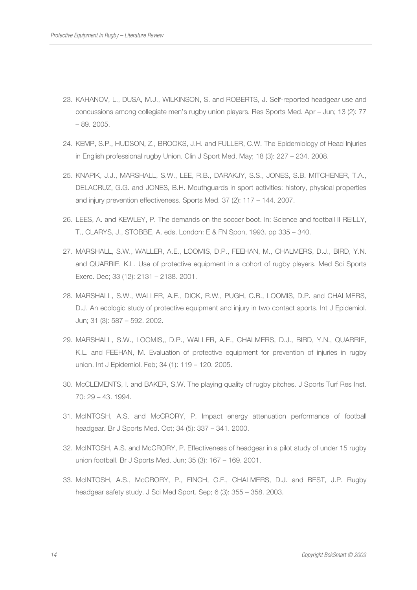- 23. KAHANOV, L., DUSA, M.J., WILKINSON, S. and ROBERTS, J. Self-reported headgear use and concussions among collegiate men's rugby union players. Res Sports Med. Apr – Jun; 13 (2): 77 – 89. 2005.
- 24. KEMP, S.P., HUDSON, Z., BROOKS, J.H. and FULLER, C.W. The Epidemiology of Head Injuries in English professional rugby Union. Clin J Sport Med. May; 18 (3): 227 – 234. 2008.
- 25. KNAPIK, J.J., MARSHALL, S.W., LEE, R.B., DARAKJY, S.S., JONES, S.B. MITCHENER, T.A., DELACRUZ, G.G. and JONES, B.H. Mouthguards in sport activities: history, physical properties and injury prevention effectiveness. Sports Med. 37 (2): 117 – 144. 2007.
- 26. LEES, A. and KEWLEY, P. The demands on the soccer boot. In: Science and football II REILLY, T., CLARYS, J., STOBBE, A. eds. London: E & FN Spon, 1993. pp 335 – 340.
- 27. MARSHALL, S.W., WALLER, A.E., LOOMIS, D.P., FEEHAN, M., CHALMERS, D.J., BIRD, Y.N. and QUARRIE, K.L. Use of protective equipment in a cohort of rugby players. Med Sci Sports Exerc. Dec; 33 (12): 2131 – 2138. 2001.
- 28. MARSHALL, S.W., WALLER, A.E., DICK, R.W., PUGH, C.B., LOOMIS, D.P. and CHALMERS, D.J. An ecologic study of protective equipment and injury in two contact sports. Int J Epidemiol. Jun; 31 (3): 587 – 592. 2002.
- 29. MARSHALL, S.W., LOOMIS,, D.P., WALLER, A.E., CHALMERS, D.J., BIRD, Y.N., QUARRIE, K.L. and FEEHAN, M. Evaluation of protective equipment for prevention of injuries in rugby union. Int J Epidemiol. Feb; 34 (1): 119 – 120. 2005.
- 30. McCLEMENTS, I. and BAKER, S.W. The playing quality of rugby pitches. J Sports Turf Res Inst. 70: 29 – 43. 1994.
- 31. McINTOSH, A.S. and McCRORY, P. Impact energy attenuation performance of football headgear. Br J Sports Med. Oct; 34 (5): 337 – 341. 2000.
- 32. McINTOSH, A.S. and McCRORY, P. Effectiveness of headgear in a pilot study of under 15 rugby union football. Br J Sports Med. Jun; 35 (3): 167 – 169. 2001.
- 33. McINTOSH, A.S., McCRORY, P., FINCH, C.F., CHALMERS, D.J. and BEST, J.P. Rugby headgear safety study. J Sci Med Sport. Sep; 6 (3): 355 – 358. 2003.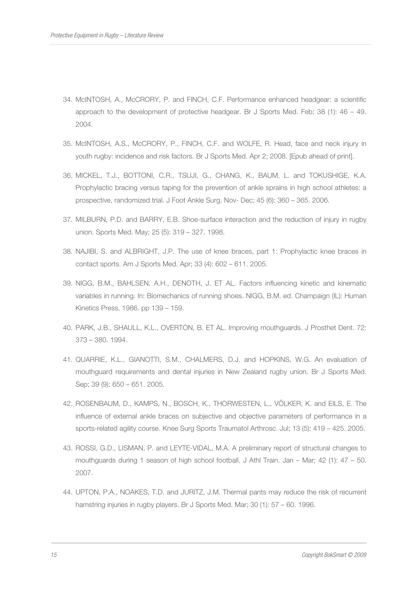- 34. McINTOSH, A., McCRORY, P. and FINCH, C.F. Performance enhanced headgear: a scientific approach to the development of protective headgear. Br J Sports Med. Feb; 38 (1): 46 – 49. 2004.
- 35. McINTOSH, A.S., McCRORY, P., FINCH, C.F. and WOLFE, R. Head, face and neck injury in youth rugby: incidence and risk factors. Br J Sports Med. Apr 2; 2008. [Epub ahead of print].
- 36. MICKEL, T.J., BOTTONI, C.R., TSUJI, G., CHANG, K., BAUM, L. and TOKUSHIGE, K.A. Prophylactic bracing versus taping for the prevention of ankle sprains in high school athletes: a prospective, randomized trial. J Foot Ankle Surg. Nov- Dec; 45 (6): 360 – 365. 2006.
- 37. MILBURN, P.D. and BARRY, E.B. Shoe-surface interaction and the reduction of injury in rugby union. Sports Med. May; 25 (5): 319 – 327. 1998.
- 38. NAJIBI, S. and ALBRIGHT, J.P. The use of knee braces, part 1: Prophylactic knee braces in contact sports. Am J Sports Med. Apr; 33 (4): 602 – 611. 2005.
- 39. NIGG, B.M., BAHLSEN, A.H., DENOTH, J. ET AL. Factors influencing kinetic and kinematic variables in running. In: Biomechanics of running shoes. NIGG, B.M. ed. Champaign (IL): Human Kinetics Press, 1986. pp 139 – 159.
- 40. PARK, J.B., SHAULL, K.L., OVERTON, B. ET AL. Improving mouthguards. J Prosthet Dent. 72: 373 – 380. 1994.
- 41. QUARRIE, K.L., GIANOTTI, S.M., CHALMERS, D.J. and HOPKINS, W.G. An evaluation of mouthguard requirements and dental injuries in New Zealand rugby union. Br J Sports Med. Sep; 39 (9): 650 – 651. 2005.
- 42. ROSENBAUM, D., KAMPS, N., BOSCH, K., THORWESTEN, L., VÖLKER, K. and EILS, E. The influence of external ankle braces on subjective and objective parameters of performance in a sports-related agility course. Knee Surg Sports Traumatol Arthrosc. Jul; 13 (5): 419 – 425. 2005.
- 43. ROSSI, G.D., LISMAN, P. and LEYTE-VIDAL, M.A. A preliminary report of structural changes to mouthguards during 1 season of high school football. J Athl Train. Jan – Mar; 42 (1): 47 – 50. 2007.
- 44. UPTON, P.A., NOAKES, T.D. and JURITZ, J.M. Thermal pants may reduce the risk of recurrent hamstring injuries in rugby players. Br J Sports Med. Mar; 30 (1): 57 – 60. 1996.